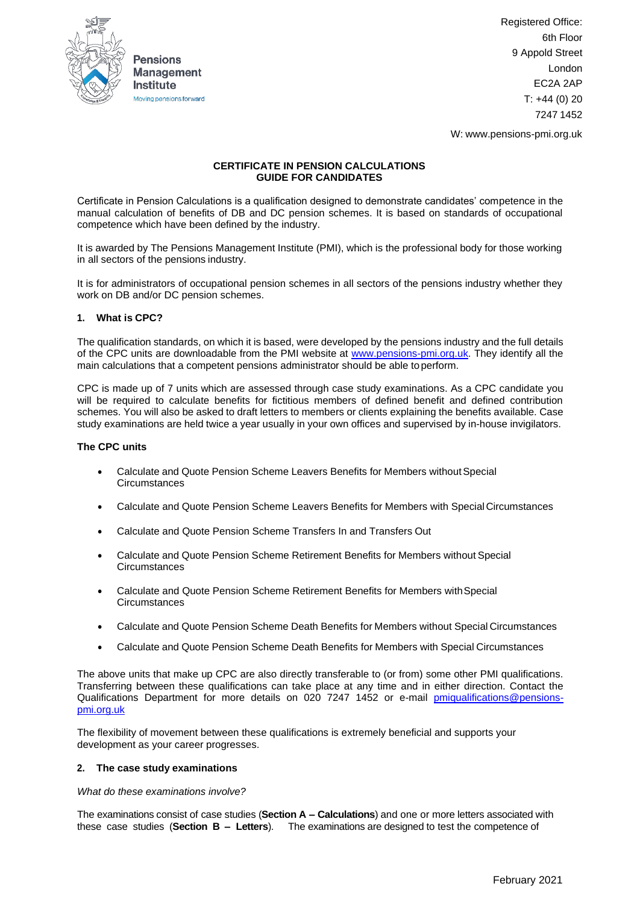

Registered Office: 6th Floor 9 Appold Street London EC2A 2AP  $T: +44(0)20$ 7247 1452

W: [www.pensions-pmi.org.uk](http://www.pensions-pmi.org.uk/)

# **CERTIFICATE IN PENSION CALCULATIONS GUIDE FOR CANDIDATES**

Certificate in Pension Calculations is a qualification designed to demonstrate candidates' competence in the manual calculation of benefits of DB and DC pension schemes. It is based on standards of occupational competence which have been defined by the industry.

It is awarded by The Pensions Management Institute (PMI), which is the professional body for those working in all sectors of the pensions industry.

It is for administrators of occupational pension schemes in all sectors of the pensions industry whether they work on DB and/or DC pension schemes.

## **1. What is CPC?**

The qualification standards, on which it is based, were developed by the pensions industry and the full details of the CPC units are downloadable from the PMI website at [www.pensions-pmi.org.uk.](http://www.pensions-pmi.org.uk/) They identify all the main calculations that a competent pensions administrator should be able toperform.

CPC is made up of 7 units which are assessed through case study examinations. As a CPC candidate you will be required to calculate benefits for fictitious members of defined benefit and defined contribution schemes. You will also be asked to draft letters to members or clients explaining the benefits available. Case study examinations are held twice a year usually in your own offices and supervised by in-house invigilators.

### **The CPC units**

- Calculate and Quote Pension Scheme Leavers Benefits for Members withoutSpecial **Circumstances**
- Calculate and Quote Pension Scheme Leavers Benefits for Members with Special Circumstances
- Calculate and Quote Pension Scheme Transfers In and Transfers Out
- Calculate and Quote Pension Scheme Retirement Benefits for Members without Special **Circumstances**
- Calculate and Quote Pension Scheme Retirement Benefits for Members withSpecial **Circumstances**
- Calculate and Quote Pension Scheme Death Benefits for Members without Special Circumstances
- Calculate and Quote Pension Scheme Death Benefits for Members with Special Circumstances

The above units that make up CPC are also directly transferable to (or from) some other PMI qualifications. Transferring between these qualifications can take place at any time and in either direction. Contact the Qualifications Department for more details on 020 7247 1452 or e-mail [pmiqualifications@pensions](mailto:pmiqualifications@pensions-pmi.org.uk)[pmi.org.uk](mailto:pmiqualifications@pensions-pmi.org.uk)

The flexibility of movement between these qualifications is extremely beneficial and supports your development as your career progresses.

## **2. The case study examinations**

#### *What do these examinations involve?*

The examinations consist of case studies (**Section A – Calculations**) and one or more letters associated with these case studies (**Section B – Letters**). The examinations are designed to test the competence of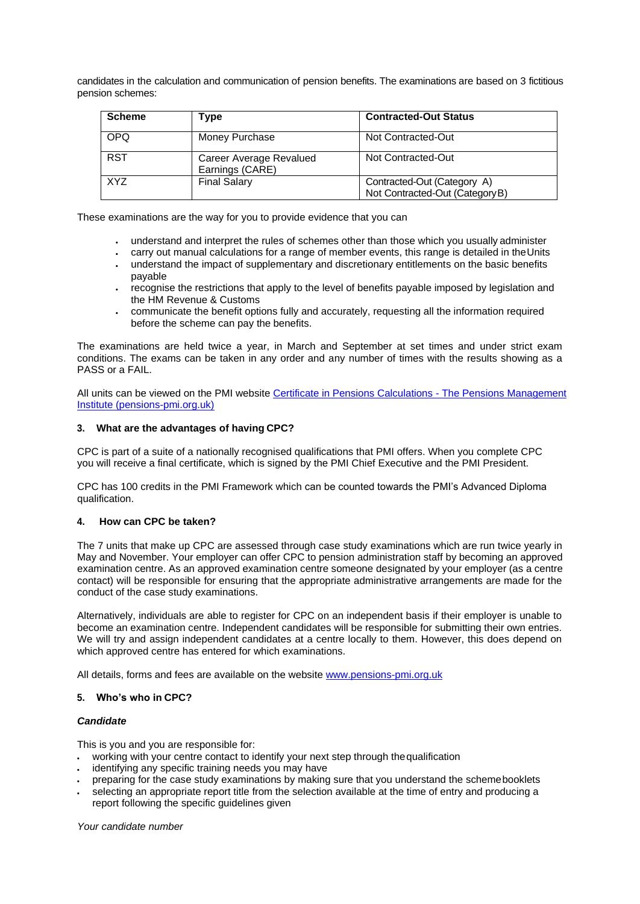candidates in the calculation and communication of pension benefits. The examinations are based on 3 fictitious pension schemes:

| <b>Scheme</b> | Type                                       | <b>Contracted-Out Status</b>                                   |
|---------------|--------------------------------------------|----------------------------------------------------------------|
| <b>OPQ</b>    | Money Purchase                             | Not Contracted-Out                                             |
| <b>RST</b>    | Career Average Revalued<br>Earnings (CARE) | Not Contracted-Out                                             |
| <b>XYZ</b>    | <b>Final Salary</b>                        | Contracted-Out (Category A)<br>Not Contracted-Out (Category B) |

These examinations are the way for you to provide evidence that you can

- understand and interpret the rules of schemes other than those which you usually administer
- carry out manual calculations for a range of member events, this range is detailed in theUnits
- understand the impact of supplementary and discretionary entitlements on the basic benefits payable
- recognise the restrictions that apply to the level of benefits payable imposed by legislation and the HM Revenue & Customs
- communicate the benefit options fully and accurately, requesting all the information required before the scheme can pay the benefits.

The examinations are held twice a year, in March and September at set times and under strict exam conditions. The exams can be taken in any order and any number of times with the results showing as a PASS or a FAIL.

All units can be viewed on the PMI websit[e Certificate in Pensions Calculations -](https://www.pensions-pmi.org.uk/pmi-academy/qualifications/certificate-in-pensions-calculations/) The Pensions Management [Institute \(pensions-pmi.org.uk\)](https://www.pensions-pmi.org.uk/pmi-academy/qualifications/certificate-in-pensions-calculations/)

## **3. What are the advantages of having CPC?**

CPC is part of a suite of a nationally recognised qualifications that PMI offers. When you complete CPC you will receive a final certificate, which is signed by the PMI Chief Executive and the PMI President.

CPC has 100 credits in the PMI Framework which can be counted towards the PMI's Advanced Diploma qualification.

## **4. How can CPC be taken?**

The 7 units that make up CPC are assessed through case study examinations which are run twice yearly in May and November. Your employer can offer CPC to pension administration staff by becoming an approved examination centre. As an approved examination centre someone designated by your employer (as a centre contact) will be responsible for ensuring that the appropriate administrative arrangements are made for the conduct of the case study examinations.

Alternatively, individuals are able to register for CPC on an independent basis if their employer is unable to become an examination centre. Independent candidates will be responsible for submitting their own entries. We will try and assign independent candidates at a centre locally to them. However, this does depend on which approved centre has entered for which examinations.

All details, forms and fees are available on the website [www.pensions-pmi.org.uk](http://www.pensions-pmi.org.uk/)

#### **5. Who's who in CPC?**

#### *Candidate*

This is you and you are responsible for:

- working with your centre contact to identify your next step through the qualification
- identifying any specific training needs you may have
- preparing for the case study examinations by making sure that you understand the schemebooklets
- selecting an appropriate report title from the selection available at the time of entry and producing a report following the specific guidelines given

*Your candidate number*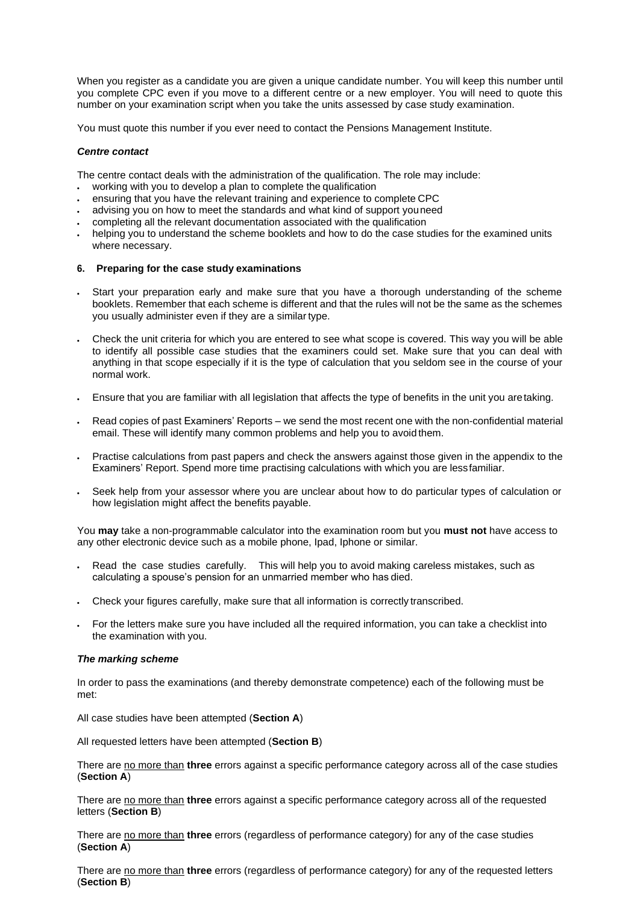When you register as a candidate you are given a unique candidate number. You will keep this number until you complete CPC even if you move to a different centre or a new employer. You will need to quote this number on your examination script when you take the units assessed by case study examination.

You must quote this number if you ever need to contact the Pensions Management Institute.

### *Centre contact*

The centre contact deals with the administration of the qualification. The role may include:

- working with you to develop a plan to complete the qualification
- ensuring that you have the relevant training and experience to complete CPC
- advising you on how to meet the standards and what kind of support youneed
- completing all the relevant documentation associated with the qualification
- helping you to understand the scheme booklets and how to do the case studies for the examined units where necessary.

### **6. Preparing for the case study examinations**

- Start your preparation early and make sure that you have a thorough understanding of the scheme booklets. Remember that each scheme is different and that the rules will not be the same as the schemes you usually administer even if they are a similar type.
- Check the unit criteria for which you are entered to see what scope is covered. This way you will be able to identify all possible case studies that the examiners could set. Make sure that you can deal with anything in that scope especially if it is the type of calculation that you seldom see in the course of your normal work.
- Ensure that you are familiar with all legislation that affects the type of benefits in the unit you aretaking.
- Read copies of past Examiners' Reports we send the most recent one with the non-confidential material email. These will identify many common problems and help you to avoid them.
- Practise calculations from past papers and check the answers against those given in the appendix to the Examiners' Report. Spend more time practising calculations with which you are lessfamiliar.
- Seek help from your assessor where you are unclear about how to do particular types of calculation or how legislation might affect the benefits payable.

You **may** take a non-programmable calculator into the examination room but you **must not** have access to any other electronic device such as a mobile phone, Ipad, Iphone or similar.

- Read the case studies carefully. This will help you to avoid making careless mistakes, such as calculating a spouse's pension for an unmarried member who has died.
- Check your figures carefully, make sure that all information is correctly transcribed.
- For the letters make sure you have included all the required information, you can take a checklist into the examination with you.

#### *The marking scheme*

In order to pass the examinations (and thereby demonstrate competence) each of the following must be met:

All case studies have been attempted (**Section A**)

All requested letters have been attempted (**Section B**)

There are no more than **three** errors against a specific performance category across all of the case studies (**Section A**)

There are no more than **three** errors against a specific performance category across all of the requested letters (**Section B**)

There are no more than **three** errors (regardless of performance category) for any of the case studies (**Section A**)

There are no more than **three** errors (regardless of performance category) for any of the requested letters (**Section B**)